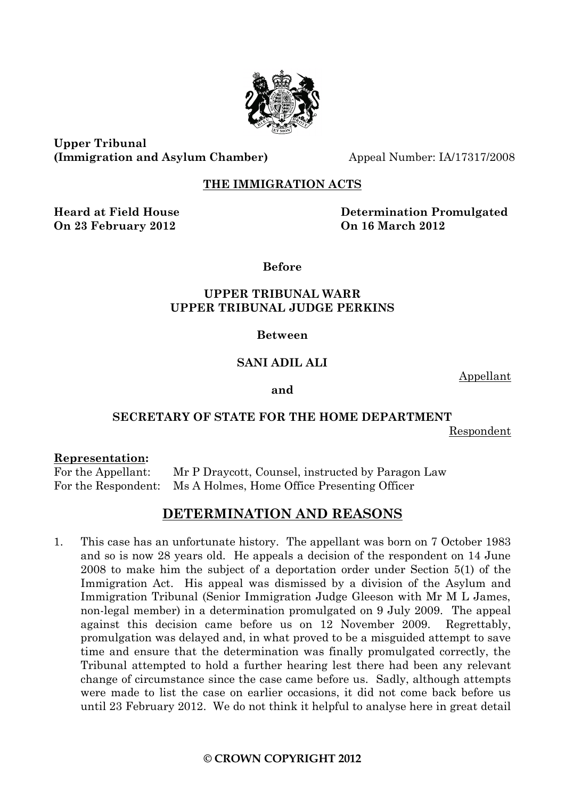

**Upper Tribunal (Immigration and Asylum Chamber)** Appeal Number: IA/17317/2008

# **THE IMMIGRATION ACTS**

**On 23 February 2012 On 16 March 2012**

**Heard at Field House Determination Promulgated**

**Before**

# **UPPER TRIBUNAL WARR UPPER TRIBUNAL JUDGE PERKINS**

### **Between**

# **SANI ADIL ALI**

Appellant

#### **and**

# **SECRETARY OF STATE FOR THE HOME DEPARTMENT**

Respondent

#### **Representation:**

For the Appellant: Mr P Draycott, Counsel, instructed by Paragon Law For the Respondent: Ms A Holmes, Home Office Presenting Officer

# **DETERMINATION AND REASONS**

1. This case has an unfortunate history. The appellant was born on 7 October 1983 and so is now 28 years old. He appeals a decision of the respondent on 14 June 2008 to make him the subject of a deportation order under Section 5(1) of the Immigration Act. His appeal was dismissed by a division of the Asylum and Immigration Tribunal (Senior Immigration Judge Gleeson with Mr M L James, non-legal member) in a determination promulgated on 9 July 2009. The appeal against this decision came before us on 12 November 2009. Regrettably, promulgation was delayed and, in what proved to be a misguided attempt to save time and ensure that the determination was finally promulgated correctly, the Tribunal attempted to hold a further hearing lest there had been any relevant change of circumstance since the case came before us. Sadly, although attempts were made to list the case on earlier occasions, it did not come back before us until 23 February 2012. We do not think it helpful to analyse here in great detail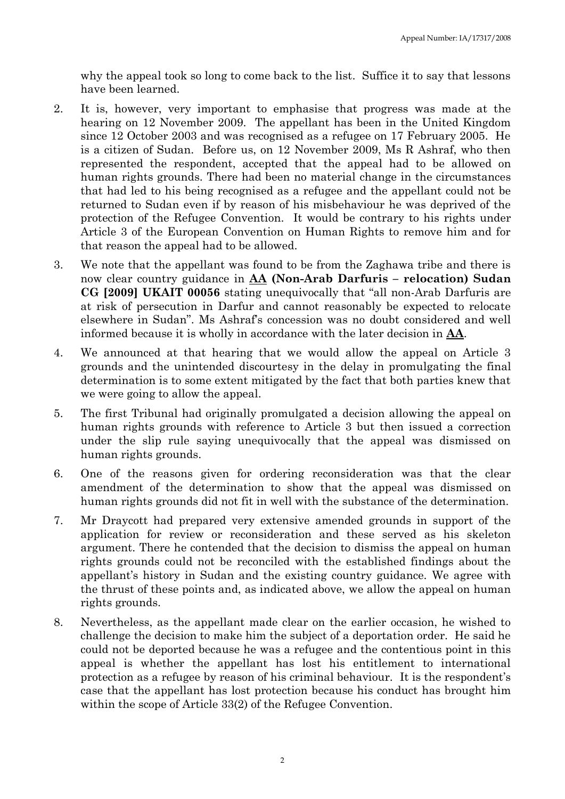why the appeal took so long to come back to the list. Suffice it to say that lessons have been learned.

- 2. It is, however, very important to emphasise that progress was made at the hearing on 12 November 2009. The appellant has been in the United Kingdom since 12 October 2003 and was recognised as a refugee on 17 February 2005. He is a citizen of Sudan. Before us, on 12 November 2009, Ms R Ashraf, who then represented the respondent, accepted that the appeal had to be allowed on human rights grounds. There had been no material change in the circumstances that had led to his being recognised as a refugee and the appellant could not be returned to Sudan even if by reason of his misbehaviour he was deprived of the protection of the Refugee Convention. It would be contrary to his rights under Article 3 of the European Convention on Human Rights to remove him and for that reason the appeal had to be allowed.
- 3. We note that the appellant was found to be from the Zaghawa tribe and there is now clear country guidance in **AA (Non-Arab Darfuris – relocation) Sudan CG [2009] UKAIT 00056** stating unequivocally that "all non-Arab Darfuris are at risk of persecution in Darfur and cannot reasonably be expected to relocate elsewhere in Sudan". Ms Ashraf's concession was no doubt considered and well informed because it is wholly in accordance with the later decision in **AA**.
- 4. We announced at that hearing that we would allow the appeal on Article 3 grounds and the unintended discourtesy in the delay in promulgating the final determination is to some extent mitigated by the fact that both parties knew that we were going to allow the appeal.
- 5. The first Tribunal had originally promulgated a decision allowing the appeal on human rights grounds with reference to Article 3 but then issued a correction under the slip rule saying unequivocally that the appeal was dismissed on human rights grounds.
- 6. One of the reasons given for ordering reconsideration was that the clear amendment of the determination to show that the appeal was dismissed on human rights grounds did not fit in well with the substance of the determination.
- 7. Mr Draycott had prepared very extensive amended grounds in support of the application for review or reconsideration and these served as his skeleton argument. There he contended that the decision to dismiss the appeal on human rights grounds could not be reconciled with the established findings about the appellant's history in Sudan and the existing country guidance. We agree with the thrust of these points and, as indicated above, we allow the appeal on human rights grounds.
- 8. Nevertheless, as the appellant made clear on the earlier occasion, he wished to challenge the decision to make him the subject of a deportation order. He said he could not be deported because he was a refugee and the contentious point in this appeal is whether the appellant has lost his entitlement to international protection as a refugee by reason of his criminal behaviour. It is the respondent's case that the appellant has lost protection because his conduct has brought him within the scope of Article 33(2) of the Refugee Convention.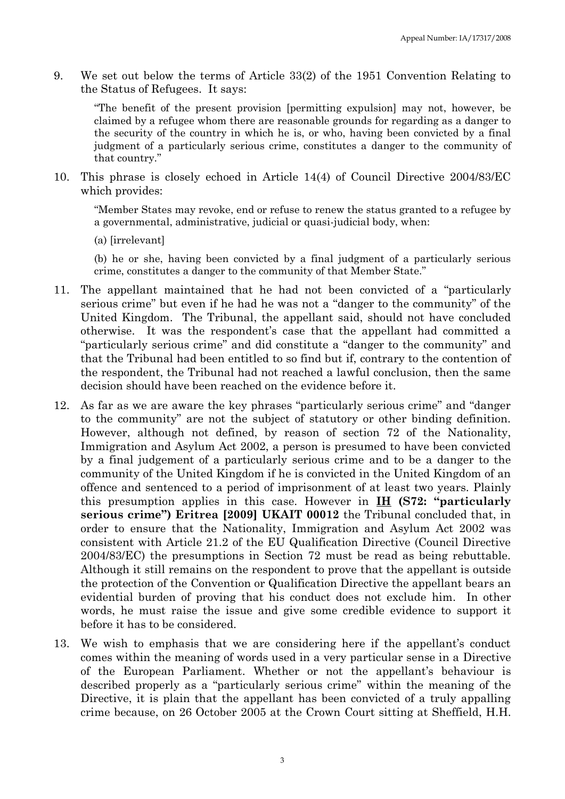9. We set out below the terms of Article 33(2) of the 1951 Convention Relating to the Status of Refugees. It says:

"The benefit of the present provision [permitting expulsion] may not, however, be claimed by a refugee whom there are reasonable grounds for regarding as a danger to the security of the country in which he is, or who, having been convicted by a final judgment of a particularly serious crime, constitutes a danger to the community of that country."

10. This phrase is closely echoed in Article 14(4) of Council Directive 2004/83/EC which provides:

"Member States may revoke, end or refuse to renew the status granted to a refugee by a governmental, administrative, judicial or quasi-judicial body, when:

(a) [irrelevant]

(b) he or she, having been convicted by a final judgment of a particularly serious crime, constitutes a danger to the community of that Member State."

- 11. The appellant maintained that he had not been convicted of a "particularly serious crime" but even if he had he was not a "danger to the community" of the United Kingdom. The Tribunal, the appellant said, should not have concluded otherwise. It was the respondent's case that the appellant had committed a "particularly serious crime" and did constitute a "danger to the community" and that the Tribunal had been entitled to so find but if, contrary to the contention of the respondent, the Tribunal had not reached a lawful conclusion, then the same decision should have been reached on the evidence before it.
- 12. As far as we are aware the key phrases "particularly serious crime" and "danger to the community" are not the subject of statutory or other binding definition. However, although not defined, by reason of section 72 of the Nationality, Immigration and Asylum Act 2002, a person is presumed to have been convicted by a final judgement of a particularly serious crime and to be a danger to the community of the United Kingdom if he is convicted in the United Kingdom of an offence and sentenced to a period of imprisonment of at least two years. Plainly this presumption applies in this case. However in **IH (S72: "particularly serious crime") Eritrea [2009] UKAIT 00012** the Tribunal concluded that, in order to ensure that the Nationality, Immigration and Asylum Act 2002 was consistent with Article 21.2 of the EU Qualification Directive (Council Directive 2004/83/EC) the presumptions in Section 72 must be read as being rebuttable. Although it still remains on the respondent to prove that the appellant is outside the protection of the Convention or Qualification Directive the appellant bears an evidential burden of proving that his conduct does not exclude him. In other words, he must raise the issue and give some credible evidence to support it before it has to be considered.
- 13. We wish to emphasis that we are considering here if the appellant's conduct comes within the meaning of words used in a very particular sense in a Directive of the European Parliament. Whether or not the appellant's behaviour is described properly as a "particularly serious crime" within the meaning of the Directive, it is plain that the appellant has been convicted of a truly appalling crime because, on 26 October 2005 at the Crown Court sitting at Sheffield, H.H.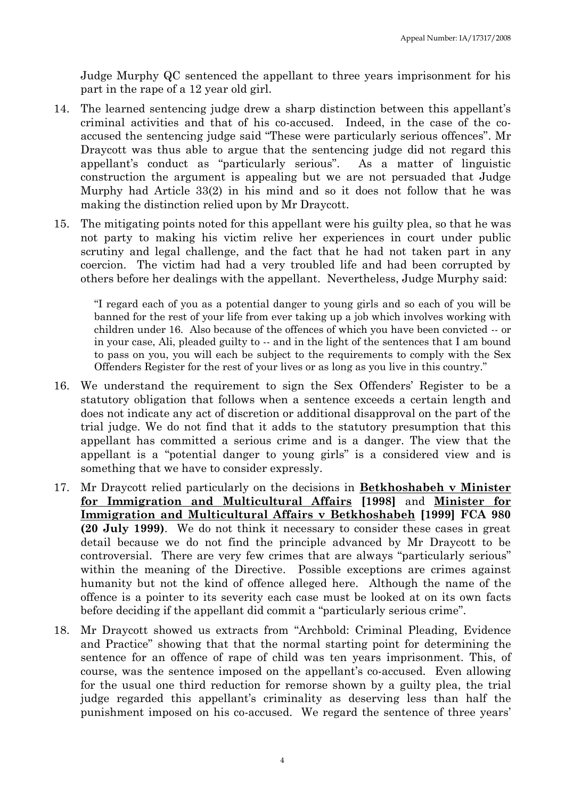Judge Murphy QC sentenced the appellant to three years imprisonment for his part in the rape of a 12 year old girl.

- 14. The learned sentencing judge drew a sharp distinction between this appellant's criminal activities and that of his co-accused. Indeed, in the case of the coaccused the sentencing judge said "These were particularly serious offences". Mr Draycott was thus able to argue that the sentencing judge did not regard this appellant's conduct as "particularly serious". As a matter of linguistic construction the argument is appealing but we are not persuaded that Judge Murphy had Article 33(2) in his mind and so it does not follow that he was making the distinction relied upon by Mr Draycott.
- 15. The mitigating points noted for this appellant were his guilty plea, so that he was not party to making his victim relive her experiences in court under public scrutiny and legal challenge, and the fact that he had not taken part in any coercion. The victim had had a very troubled life and had been corrupted by others before her dealings with the appellant. Nevertheless, Judge Murphy said:

"I regard each of you as a potential danger to young girls and so each of you will be banned for the rest of your life from ever taking up a job which involves working with children under 16. Also because of the offences of which you have been convicted -- or in your case, Ali, pleaded guilty to -- and in the light of the sentences that I am bound to pass on you, you will each be subject to the requirements to comply with the Sex Offenders Register for the rest of your lives or as long as you live in this country."

- 16. We understand the requirement to sign the Sex Offenders' Register to be a statutory obligation that follows when a sentence exceeds a certain length and does not indicate any act of discretion or additional disapproval on the part of the trial judge. We do not find that it adds to the statutory presumption that this appellant has committed a serious crime and is a danger. The view that the appellant is a "potential danger to young girls" is a considered view and is something that we have to consider expressly.
- 17. Mr Draycott relied particularly on the decisions in **Betkhoshabeh v Minister for Immigration and Multicultural Affairs [1998]** and **Minister for Immigration and Multicultural Affairs v Betkhoshabeh [1999] FCA 980 (20 July 1999)**. We do not think it necessary to consider these cases in great detail because we do not find the principle advanced by Mr Draycott to be controversial. There are very few crimes that are always "particularly serious" within the meaning of the Directive. Possible exceptions are crimes against humanity but not the kind of offence alleged here. Although the name of the offence is a pointer to its severity each case must be looked at on its own facts before deciding if the appellant did commit a "particularly serious crime".
- 18. Mr Draycott showed us extracts from "Archbold: Criminal Pleading, Evidence and Practice" showing that that the normal starting point for determining the sentence for an offence of rape of child was ten years imprisonment. This, of course, was the sentence imposed on the appellant's co-accused. Even allowing for the usual one third reduction for remorse shown by a guilty plea, the trial judge regarded this appellant's criminality as deserving less than half the punishment imposed on his co-accused. We regard the sentence of three years'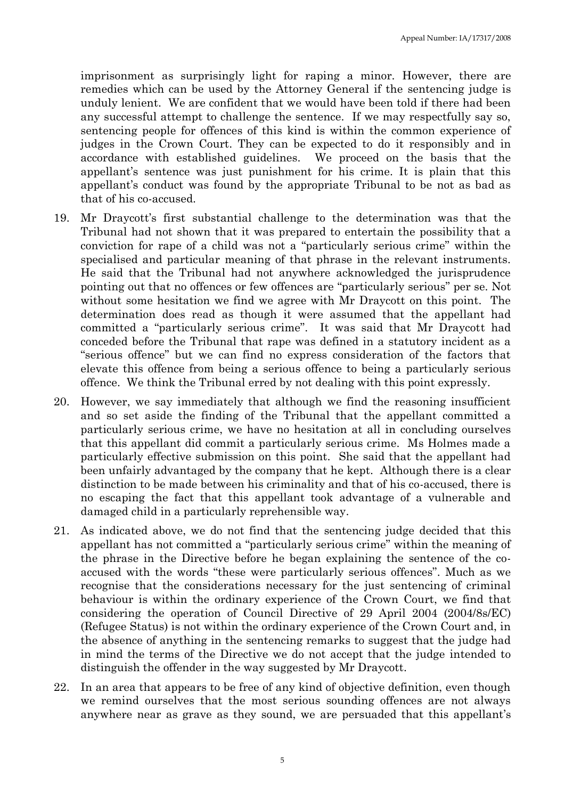imprisonment as surprisingly light for raping a minor. However, there are remedies which can be used by the Attorney General if the sentencing judge is unduly lenient. We are confident that we would have been told if there had been any successful attempt to challenge the sentence. If we may respectfully say so, sentencing people for offences of this kind is within the common experience of judges in the Crown Court. They can be expected to do it responsibly and in accordance with established guidelines. We proceed on the basis that the appellant's sentence was just punishment for his crime. It is plain that this appellant's conduct was found by the appropriate Tribunal to be not as bad as that of his co-accused.

- 19. Mr Draycott's first substantial challenge to the determination was that the Tribunal had not shown that it was prepared to entertain the possibility that a conviction for rape of a child was not a "particularly serious crime" within the specialised and particular meaning of that phrase in the relevant instruments. He said that the Tribunal had not anywhere acknowledged the jurisprudence pointing out that no offences or few offences are "particularly serious" per se. Not without some hesitation we find we agree with Mr Draycott on this point. The determination does read as though it were assumed that the appellant had committed a "particularly serious crime". It was said that Mr Draycott had conceded before the Tribunal that rape was defined in a statutory incident as a "serious offence" but we can find no express consideration of the factors that elevate this offence from being a serious offence to being a particularly serious offence. We think the Tribunal erred by not dealing with this point expressly.
- 20. However, we say immediately that although we find the reasoning insufficient and so set aside the finding of the Tribunal that the appellant committed a particularly serious crime, we have no hesitation at all in concluding ourselves that this appellant did commit a particularly serious crime. Ms Holmes made a particularly effective submission on this point. She said that the appellant had been unfairly advantaged by the company that he kept. Although there is a clear distinction to be made between his criminality and that of his co-accused, there is no escaping the fact that this appellant took advantage of a vulnerable and damaged child in a particularly reprehensible way.
- 21. As indicated above, we do not find that the sentencing judge decided that this appellant has not committed a "particularly serious crime" within the meaning of the phrase in the Directive before he began explaining the sentence of the coaccused with the words "these were particularly serious offences". Much as we recognise that the considerations necessary for the just sentencing of criminal behaviour is within the ordinary experience of the Crown Court, we find that considering the operation of Council Directive of 29 April 2004 (2004/8s/EC) (Refugee Status) is not within the ordinary experience of the Crown Court and, in the absence of anything in the sentencing remarks to suggest that the judge had in mind the terms of the Directive we do not accept that the judge intended to distinguish the offender in the way suggested by Mr Draycott.
- 22. In an area that appears to be free of any kind of objective definition, even though we remind ourselves that the most serious sounding offences are not always anywhere near as grave as they sound, we are persuaded that this appellant's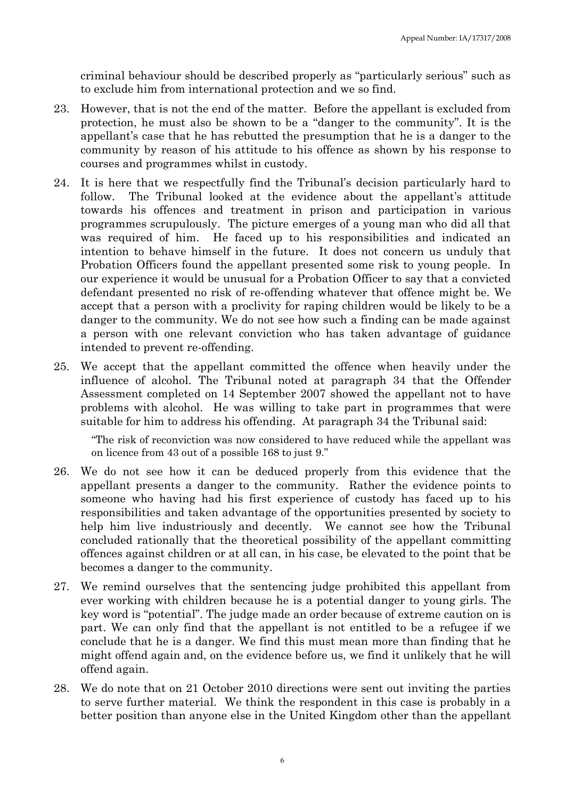criminal behaviour should be described properly as "particularly serious" such as to exclude him from international protection and we so find.

- 23. However, that is not the end of the matter. Before the appellant is excluded from protection, he must also be shown to be a "danger to the community". It is the appellant's case that he has rebutted the presumption that he is a danger to the community by reason of his attitude to his offence as shown by his response to courses and programmes whilst in custody.
- 24. It is here that we respectfully find the Tribunal's decision particularly hard to follow. The Tribunal looked at the evidence about the appellant's attitude towards his offences and treatment in prison and participation in various programmes scrupulously. The picture emerges of a young man who did all that was required of him. He faced up to his responsibilities and indicated an intention to behave himself in the future. It does not concern us unduly that Probation Officers found the appellant presented some risk to young people. In our experience it would be unusual for a Probation Officer to say that a convicted defendant presented no risk of re-offending whatever that offence might be. We accept that a person with a proclivity for raping children would be likely to be a danger to the community. We do not see how such a finding can be made against a person with one relevant conviction who has taken advantage of guidance intended to prevent re-offending.
- 25. We accept that the appellant committed the offence when heavily under the influence of alcohol. The Tribunal noted at paragraph 34 that the Offender Assessment completed on 14 September 2007 showed the appellant not to have problems with alcohol. He was willing to take part in programmes that were suitable for him to address his offending. At paragraph 34 the Tribunal said:

"The risk of reconviction was now considered to have reduced while the appellant was on licence from 43 out of a possible 168 to just 9."

- 26. We do not see how it can be deduced properly from this evidence that the appellant presents a danger to the community. Rather the evidence points to someone who having had his first experience of custody has faced up to his responsibilities and taken advantage of the opportunities presented by society to help him live industriously and decently. We cannot see how the Tribunal concluded rationally that the theoretical possibility of the appellant committing offences against children or at all can, in his case, be elevated to the point that be becomes a danger to the community.
- 27. We remind ourselves that the sentencing judge prohibited this appellant from ever working with children because he is a potential danger to young girls. The key word is "potential". The judge made an order because of extreme caution on is part. We can only find that the appellant is not entitled to be a refugee if we conclude that he is a danger. We find this must mean more than finding that he might offend again and, on the evidence before us, we find it unlikely that he will offend again.
- 28. We do note that on 21 October 2010 directions were sent out inviting the parties to serve further material. We think the respondent in this case is probably in a better position than anyone else in the United Kingdom other than the appellant